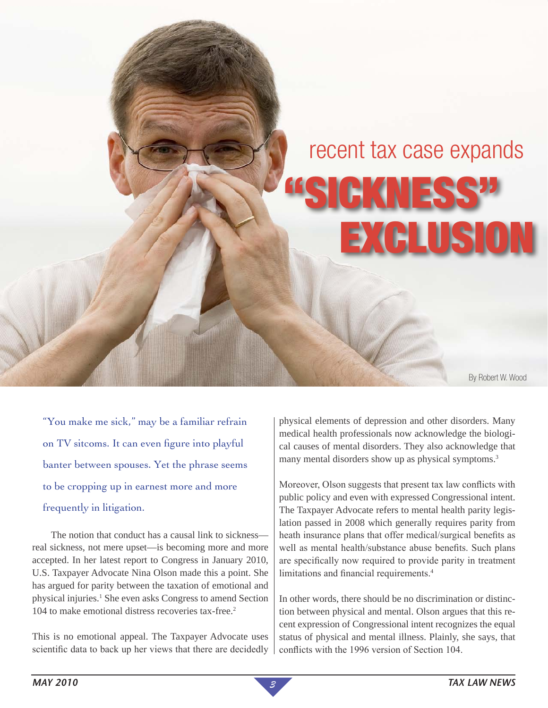# recent tax case expands

EXCLUSION

IGKNES

By Robert W. Wood

"You make me sick," may be a familiar refrain on TV sitcoms. It can even figure into playful banter between spouses. Yet the phrase seems to be cropping up in earnest more and more frequently in litigation.

The notion that conduct has a causal link to sickness real sickness, not mere upset—is becoming more and more accepted. In her latest report to Congress in January 2010, U.S. Taxpayer Advocate Nina Olson made this a point. She has argued for parity between the taxation of emotional and physical injuries.<sup>1</sup> She even asks Congress to amend Section 104 to make emotional distress recoveries tax-free.2

This is no emotional appeal. The Taxpayer Advocate uses scientific data to back up her views that there are decidedly

physical elements of depression and other disorders. Many medical health professionals now acknowledge the biological causes of mental disorders. They also acknowledge that many mental disorders show up as physical symptoms.<sup>3</sup>

Moreover, Olson suggests that present tax law conflicts with public policy and even with expressed Congressional intent. The Taxpayer Advocate refers to mental health parity legislation passed in 2008 which generally requires parity from heath insurance plans that offer medical/surgical benefits as well as mental health/substance abuse benefits. Such plans are specifically now required to provide parity in treatment limitations and financial requirements.<sup>4</sup>

In other words, there should be no discrimination or distinction between physical and mental. Olson argues that this recent expression of Congressional intent recognizes the equal status of physical and mental illness. Plainly, she says, that conflicts with the 1996 version of Section 104.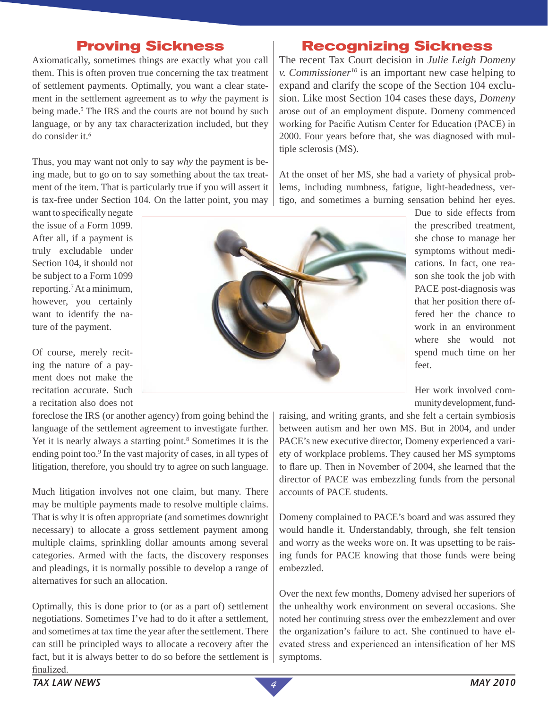## **Proving Sickness**

Axiomatically, sometimes things are exactly what you call them. This is often proven true concerning the tax treatment of settlement payments. Optimally, you want a clear statement in the settlement agreement as to *why* the payment is being made.<sup>5</sup> The IRS and the courts are not bound by such language, or by any tax characterization included, but they do consider it. $6$ 

Thus, you may want not only to say *why* the payment is being made, but to go on to say something about the tax treatment of the item. That is particularly true if you will assert it is tax-free under Section 104. On the latter point, you may

want to specifically negate the issue of a Form 1099. After all, if a payment is truly excludable under Section 104, it should not be subject to a Form 1099 reporting.7 At a minimum, however, you certainly want to identify the nature of the payment.

Of course, merely reciting the nature of a payment does not make the recitation accurate. Such a recitation also does not

foreclose the IRS (or another agency) from going behind the language of the settlement agreement to investigate further. Yet it is nearly always a starting point.<sup>8</sup> Sometimes it is the ending point too.<sup>9</sup> In the vast majority of cases, in all types of litigation, therefore, you should try to agree on such language.

Much litigation involves not one claim, but many. There may be multiple payments made to resolve multiple claims. That is why it is often appropriate (and sometimes downright necessary) to allocate a gross settlement payment among multiple claims, sprinkling dollar amounts among several categories. Armed with the facts, the discovery responses and pleadings, it is normally possible to develop a range of alternatives for such an allocation.

Optimally, this is done prior to (or as a part of) settlement negotiations. Sometimes I've had to do it after a settlement, and sometimes at tax time the year after the settlement. There can still be principled ways to allocate a recovery after the fact, but it is always better to do so before the settlement is  $\vert$ finalized.

## **Recognizing Sickness**

The recent Tax Court decision in *Julie Leigh Domeny v. Commissioner10* is an important new case helping to expand and clarify the scope of the Section 104 exclusion. Like most Section 104 cases these days, *Domeny* arose out of an employment dispute. Domeny commenced working for Pacific Autism Center for Education (PACE) in 2000. Four years before that, she was diagnosed with multiple sclerosis (MS).

At the onset of her MS, she had a variety of physical problems, including numbness, fatigue, light-headedness, vertigo, and sometimes a burning sensation behind her eyes.



Due to side effects from the prescribed treatment, she chose to manage her symptoms without medications. In fact, one reason she took the job with PACE post-diagnosis was that her position there offered her the chance to work in an environment where she would not spend much time on her feet.

Her work involved community development, fund-

raising, and writing grants, and she felt a certain symbiosis between autism and her own MS. But in 2004, and under PACE's new executive director, Domeny experienced a variety of workplace problems. They caused her MS symptoms to flare up. Then in November of 2004, she learned that the director of PACE was embezzling funds from the personal accounts of PACE students.

Domeny complained to PACE's board and was assured they would handle it. Understandably, through, she felt tension and worry as the weeks wore on. It was upsetting to be raising funds for PACE knowing that those funds were being embezzled.

Over the next few months, Domeny advised her superiors of the unhealthy work environment on several occasions. She noted her continuing stress over the embezzlement and over the organization's failure to act. She continued to have elevated stress and experienced an intensification of her MS symptoms.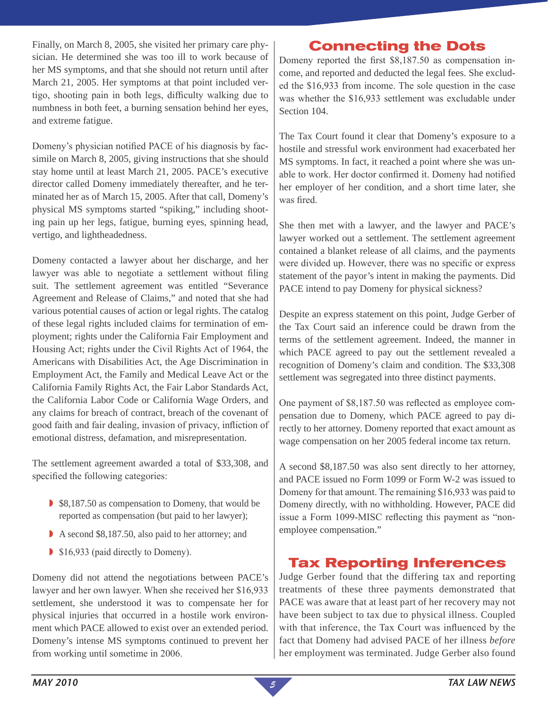Finally, on March 8, 2005, she visited her primary care physician. He determined she was too ill to work because of her MS symptoms, and that she should not return until after March 21, 2005. Her symptoms at that point included vertigo, shooting pain in both legs, difficulty walking due to numbness in both feet, a burning sensation behind her eyes, and extreme fatigue.

Domeny's physician notified PACE of his diagnosis by facsimile on March 8, 2005, giving instructions that she should stay home until at least March 21, 2005. PACE's executive director called Domeny immediately thereafter, and he terminated her as of March 15, 2005. After that call, Domeny's physical MS symptoms started "spiking," including shooting pain up her legs, fatigue, burning eyes, spinning head, vertigo, and lightheadedness.

Domeny contacted a lawyer about her discharge, and her lawyer was able to negotiate a settlement without filing suit. The settlement agreement was entitled "Severance Agreement and Release of Claims," and noted that she had various potential causes of action or legal rights. The catalog of these legal rights included claims for termination of employment; rights under the California Fair Employment and Housing Act; rights under the Civil Rights Act of 1964, the Americans with Disabilities Act, the Age Discrimination in Employment Act, the Family and Medical Leave Act or the California Family Rights Act, the Fair Labor Standards Act, the California Labor Code or California Wage Orders, and any claims for breach of contract, breach of the covenant of good faith and fair dealing, invasion of privacy, infliction of emotional distress, defamation, and misrepresentation.

The settlement agreement awarded a total of \$33,308, and specified the following categories:

- S8,187.50 as compensation to Domeny, that would be reported as compensation (but paid to her lawyer);
- A second \$8,187.50, also paid to her attorney; and
- $\blacktriangleright$  \$16,933 (paid directly to Domeny).

Domeny did not attend the negotiations between PACE's lawyer and her own lawyer. When she received her \$16,933 settlement, she understood it was to compensate her for physical injuries that occurred in a hostile work environment which PACE allowed to exist over an extended period. Domeny's intense MS symptoms continued to prevent her from working until sometime in 2006.

# **Connecting the Dots**

Domeny reported the first \$8,187.50 as compensation income, and reported and deducted the legal fees. She excluded the \$16,933 from income. The sole question in the case was whether the \$16,933 settlement was excludable under Section 104.

The Tax Court found it clear that Domeny's exposure to a hostile and stressful work environment had exacerbated her MS symptoms. In fact, it reached a point where she was unable to work. Her doctor confirmed it. Domeny had notified her employer of her condition, and a short time later, she was fired.

She then met with a lawyer, and the lawyer and PACE's lawyer worked out a settlement. The settlement agreement contained a blanket release of all claims, and the payments were divided up. However, there was no specific or express statement of the payor's intent in making the payments. Did PACE intend to pay Domeny for physical sickness?

Despite an express statement on this point, Judge Gerber of the Tax Court said an inference could be drawn from the terms of the settlement agreement. Indeed, the manner in which PACE agreed to pay out the settlement revealed a recognition of Domeny's claim and condition. The \$33,308 settlement was segregated into three distinct payments.

One payment of \$8,187.50 was reflected as employee compensation due to Domeny, which PACE agreed to pay directly to her attorney. Domeny reported that exact amount as wage compensation on her 2005 federal income tax return.

A second \$8,187.50 was also sent directly to her attorney, and PACE issued no Form 1099 or Form W-2 was issued to Domeny for that amount. The remaining \$16,933 was paid to Domeny directly, with no withholding. However, PACE did issue a Form 1099-MISC reflecting this payment as "nonemployee compensation."

# **Tax Reporting Inferences**

Judge Gerber found that the differing tax and reporting treatments of these three payments demonstrated that PACE was aware that at least part of her recovery may not have been subject to tax due to physical illness. Coupled with that inference, the Tax Court was influenced by the fact that Domeny had advised PACE of her illness *before* her employment was terminated. Judge Gerber also found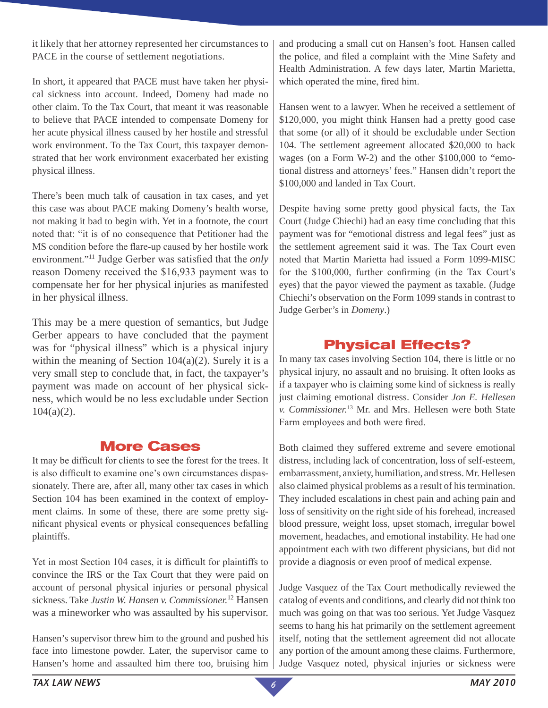it likely that her attorney represented her circumstances to PACE in the course of settlement negotiations.

In short, it appeared that PACE must have taken her physical sickness into account. Indeed, Domeny had made no other claim. To the Tax Court, that meant it was reasonable to believe that PACE intended to compensate Domeny for her acute physical illness caused by her hostile and stressful work environment. To the Tax Court, this taxpayer demonstrated that her work environment exacerbated her existing physical illness.

There's been much talk of causation in tax cases, and yet this case was about PACE making Domeny's health worse, not making it bad to begin with. Yet in a footnote, the court noted that: "it is of no consequence that Petitioner had the MS condition before the flare-up caused by her hostile work environment."11 Judge Gerber was satisfied that the *only* reason Domeny received the \$16,933 payment was to compensate her for her physical injuries as manifested in her physical illness.

This may be a mere question of semantics, but Judge Gerber appears to have concluded that the payment was for "physical illness" which is a physical injury within the meaning of Section  $104(a)(2)$ . Surely it is a very small step to conclude that, in fact, the taxpayer's payment was made on account of her physical sickness, which would be no less excludable under Section  $104(a)(2)$ .

# **More Cases**

It may be difficult for clients to see the forest for the trees. It is also difficult to examine one's own circumstances dispassionately. There are, after all, many other tax cases in which Section 104 has been examined in the context of employment claims. In some of these, there are some pretty significant physical events or physical consequences befalling plaintiffs.

Yet in most Section 104 cases, it is difficult for plaintiffs to convince the IRS or the Tax Court that they were paid on account of personal physical injuries or personal physical sickness. Take *Justin W. Hansen v. Commissioner.*12 Hansen was a mineworker who was assaulted by his supervisor.

Hansen's supervisor threw him to the ground and pushed his face into limestone powder. Later, the supervisor came to Hansen's home and assaulted him there too, bruising him

and producing a small cut on Hansen's foot. Hansen called the police, and filed a complaint with the Mine Safety and Health Administration. A few days later, Martin Marietta, which operated the mine, fired him.

Hansen went to a lawyer. When he received a settlement of \$120,000, you might think Hansen had a pretty good case that some (or all) of it should be excludable under Section 104. The settlement agreement allocated \$20,000 to back wages (on a Form W-2) and the other \$100,000 to "emotional distress and attorneys' fees." Hansen didn't report the \$100,000 and landed in Tax Court.

Despite having some pretty good physical facts, the Tax Court (Judge Chiechi) had an easy time concluding that this payment was for "emotional distress and legal fees" just as the settlement agreement said it was. The Tax Court even noted that Martin Marietta had issued a Form 1099-MISC for the \$100,000, further confirming (in the Tax Court's eyes) that the payor viewed the payment as taxable. (Judge Chiechi's observation on the Form 1099 stands in contrast to Judge Gerber's in *Domeny*.)

# **Physical Effects?**

In many tax cases involving Section 104, there is little or no physical injury, no assault and no bruising. It often looks as if a taxpayer who is claiming some kind of sickness is really just claiming emotional distress. Consider *Jon E. Hellesen v. Commissioner.*13 Mr. and Mrs. Hellesen were both State Farm employees and both were fired.

Both claimed they suffered extreme and severe emotional distress, including lack of concentration, loss of self-esteem, embarrassment, anxiety, humiliation, and stress. Mr. Hellesen also claimed physical problems as a result of his termination. They included escalations in chest pain and aching pain and loss of sensitivity on the right side of his forehead, increased blood pressure, weight loss, upset stomach, irregular bowel movement, headaches, and emotional instability. He had one appointment each with two different physicians, but did not provide a diagnosis or even proof of medical expense.

Judge Vasquez of the Tax Court methodically reviewed the catalog of events and conditions, and clearly did not think too much was going on that was too serious. Yet Judge Vasquez seems to hang his hat primarily on the settlement agreement itself, noting that the settlement agreement did not allocate any portion of the amount among these claims. Furthermore, Judge Vasquez noted, physical injuries or sickness were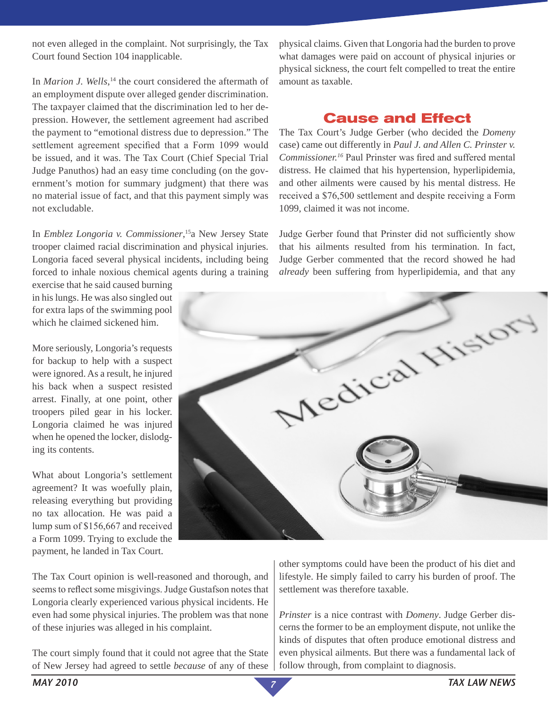not even alleged in the complaint. Not surprisingly, the Tax Court found Section 104 inapplicable.

In *Marion J. Wells*, 14 the court considered the aftermath of an employment dispute over alleged gender discrimination. The taxpayer claimed that the discrimination led to her depression. However, the settlement agreement had ascribed the payment to "emotional distress due to depression." The settlement agreement specified that a Form 1099 would be issued, and it was. The Tax Court (Chief Special Trial Judge Panuthos) had an easy time concluding (on the government's motion for summary judgment) that there was no material issue of fact, and that this payment simply was not excludable.

In *Emblez Longoria v. Commissioner*, 15a New Jersey State trooper claimed racial discrimination and physical injuries. Longoria faced several physical incidents, including being forced to inhale noxious chemical agents during a training

exercise that he said caused burning in his lungs. He was also singled out for extra laps of the swimming pool which he claimed sickened him.

More seriously, Longoria's requests for backup to help with a suspect were ignored. As a result, he injured his back when a suspect resisted arrest. Finally, at one point, other troopers piled gear in his locker. Longoria claimed he was injured when he opened the locker, dislodging its contents.

What about Longoria's settlement agreement? It was woefully plain, releasing everything but providing no tax allocation. He was paid a lump sum of \$156,667 and received a Form 1099. Trying to exclude the payment, he landed in Tax Court.

The Tax Court opinion is well-reasoned and thorough, and seems to reflect some misgivings. Judge Gustafson notes that Longoria clearly experienced various physical incidents. He even had some physical injuries. The problem was that none of these injuries was alleged in his complaint.

The court simply found that it could not agree that the State of New Jersey had agreed to settle *because* of any of these physical claims. Given that Longoria had the burden to prove what damages were paid on account of physical injuries or physical sickness, the court felt compelled to treat the entire amount as taxable.

### **Cause and Effect**

The Tax Court's Judge Gerber (who decided the *Domeny* case) came out differently in *Paul J. and Allen C. Prinster v. Commissioner.16* Paul Prinster was fired and suffered mental distress. He claimed that his hypertension, hyperlipidemia, and other ailments were caused by his mental distress. He received a \$76,500 settlement and despite receiving a Form 1099, claimed it was not income.

Judge Gerber found that Prinster did not sufficiently show that his ailments resulted from his termination. In fact, Judge Gerber commented that the record showed he had *already* been suffering from hyperlipidemia, and that any



other symptoms could have been the product of his diet and lifestyle. He simply failed to carry his burden of proof. The settlement was therefore taxable.

*Prinster* is a nice contrast with *Domeny*. Judge Gerber discerns the former to be an employment dispute, not unlike the kinds of disputes that often produce emotional distress and even physical ailments. But there was a fundamental lack of follow through, from complaint to diagnosis.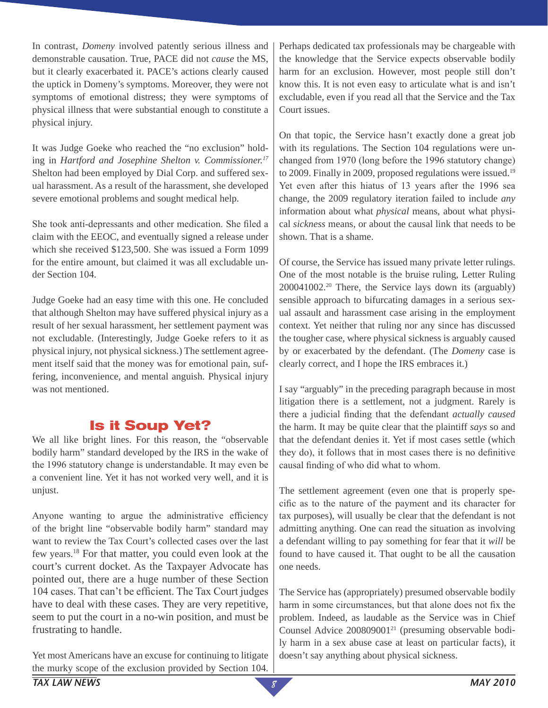In contrast, *Domeny* involved patently serious illness and demonstrable causation. True, PACE did not *cause* the MS, but it clearly exacerbated it. PACE's actions clearly caused the uptick in Domeny's symptoms. Moreover, they were not symptoms of emotional distress; they were symptoms of physical illness that were substantial enough to constitute a physical injury.

It was Judge Goeke who reached the "no exclusion" holding in *Hartford and Josephine Shelton v. Commissioner.17* Shelton had been employed by Dial Corp. and suffered sexual harassment. As a result of the harassment, she developed severe emotional problems and sought medical help.

She took anti-depressants and other medication. She filed a claim with the EEOC, and eventually signed a release under which she received \$123,500. She was issued a Form 1099 for the entire amount, but claimed it was all excludable under Section 104.

Judge Goeke had an easy time with this one. He concluded that although Shelton may have suffered physical injury as a result of her sexual harassment, her settlement payment was not excludable. (Interestingly, Judge Goeke refers to it as physical injury, not physical sickness.) The settlement agreement itself said that the money was for emotional pain, suffering, inconvenience, and mental anguish. Physical injury was not mentioned.

# **Is it Soup Yet?**

We all like bright lines. For this reason, the "observable bodily harm" standard developed by the IRS in the wake of the 1996 statutory change is understandable. It may even be a convenient line. Yet it has not worked very well, and it is unjust.

Anyone wanting to argue the administrative efficiency of the bright line "observable bodily harm" standard may want to review the Tax Court's collected cases over the last few years.18 For that matter, you could even look at the court's current docket. As the Taxpayer Advocate has pointed out, there are a huge number of these Section 104 cases. That can't be efficient. The Tax Court judges have to deal with these cases. They are very repetitive, seem to put the court in a no-win position, and must be frustrating to handle.

Yet most Americans have an excuse for continuing to litigate the murky scope of the exclusion provided by Section 104.

Perhaps dedicated tax professionals may be chargeable with the knowledge that the Service expects observable bodily harm for an exclusion. However, most people still don't know this. It is not even easy to articulate what is and isn't excludable, even if you read all that the Service and the Tax Court issues.

On that topic, the Service hasn't exactly done a great job with its regulations. The Section 104 regulations were unchanged from 1970 (long before the 1996 statutory change) to 2009. Finally in 2009, proposed regulations were issued.<sup>19</sup> Yet even after this hiatus of 13 years after the 1996 sea change, the 2009 regulatory iteration failed to include *any* information about what *physical* means, about what physical *sickness* means, or about the causal link that needs to be shown. That is a shame.

Of course, the Service has issued many private letter rulings. One of the most notable is the bruise ruling, Letter Ruling  $200041002<sup>20</sup>$  There, the Service lays down its (arguably) sensible approach to bifurcating damages in a serious sexual assault and harassment case arising in the employment context. Yet neither that ruling nor any since has discussed the tougher case, where physical sickness is arguably caused by or exacerbated by the defendant. (The *Domeny* case is clearly correct, and I hope the IRS embraces it.)

I say "arguably" in the preceding paragraph because in most litigation there is a settlement, not a judgment. Rarely is there a judicial finding that the defendant *actually caused* the harm. It may be quite clear that the plaintiff *says* so and that the defendant denies it. Yet if most cases settle (which they do), it follows that in most cases there is no definitive causal finding of who did what to whom.

The settlement agreement (even one that is properly specific as to the nature of the payment and its character for tax purposes), will usually be clear that the defendant is not admitting anything. One can read the situation as involving a defendant willing to pay something for fear that it *will* be found to have caused it. That ought to be all the causation one needs.

The Service has (appropriately) presumed observable bodily harm in some circumstances, but that alone does not fix the problem. Indeed, as laudable as the Service was in Chief Counsel Advice 200809001<sup>21</sup> (presuming observable bodily harm in a sex abuse case at least on particular facts), it doesn't say anything about physical sickness.